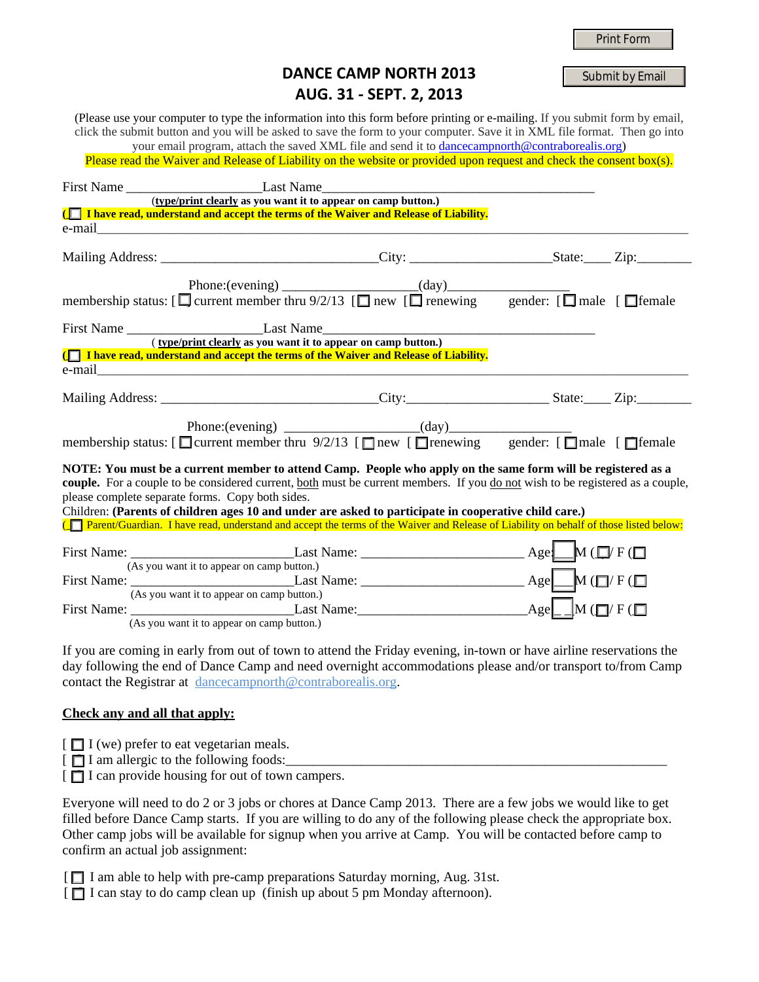|  | <b>Print Form</b> |  |
|--|-------------------|--|
|  |                   |  |

## **DANCE CAMP NORTH 2013 AUG. 31 ‐ SEPT. 2, 2013**

Submit by Email

(Please use your computer to type the information into this form before printing or e-mailing. If you submit form by email, click the submit button and you will be asked to save the form to your computer. Save it in XML file format. Then go into

your email program, attach the saved XML file and send it to dancecampnorth@contraborealis.org) Please read the Waiver and Release of Liability on the website or provided upon request and check the consent box(s).

|                                                                                                              | (type/print clearly as you want it to appear on camp button.)                                                                                                                     |  |  |  |  |
|--------------------------------------------------------------------------------------------------------------|-----------------------------------------------------------------------------------------------------------------------------------------------------------------------------------|--|--|--|--|
|                                                                                                              | ( I have read, understand and accept the terms of the Waiver and Release of Liability.                                                                                            |  |  |  |  |
|                                                                                                              |                                                                                                                                                                                   |  |  |  |  |
|                                                                                                              | Mailing Address: __________________________________City: ________________________State: ______ Zip:                                                                               |  |  |  |  |
|                                                                                                              |                                                                                                                                                                                   |  |  |  |  |
|                                                                                                              | Phone:(evening) $\qquad \qquad$ (day) $\qquad \qquad$ (day) $\qquad \qquad$ gender: [ $\Box$ male [ $\Box$ female                                                                 |  |  |  |  |
|                                                                                                              |                                                                                                                                                                                   |  |  |  |  |
|                                                                                                              | (type/print clearly as you want it to appear on camp button.)                                                                                                                     |  |  |  |  |
|                                                                                                              | (T I have read, understand and accept the terms of the Waiver and Release of Liability.                                                                                           |  |  |  |  |
|                                                                                                              |                                                                                                                                                                                   |  |  |  |  |
|                                                                                                              |                                                                                                                                                                                   |  |  |  |  |
|                                                                                                              | membership status: [ $\Box$ current member thru 9/2/13 [ $\Box$ new [ $\Box$ renewing gender: [ $\Box$ male [ $\Box$ female                                                       |  |  |  |  |
| NOTE: You must be a current member to attend Camp. People who apply on the same form will be registered as a |                                                                                                                                                                                   |  |  |  |  |
|                                                                                                              | couple. For a couple to be considered current, both must be current members. If you do not wish to be registered as a couple,<br>please complete separate forms. Copy both sides. |  |  |  |  |
|                                                                                                              | Children: (Parents of children ages 10 and under are asked to participate in cooperative child care.)                                                                             |  |  |  |  |
|                                                                                                              | [The Parent/Guardian. I have read, understand and accept the terms of the Waiver and Release of Liability on behalf of those listed below:                                        |  |  |  |  |
|                                                                                                              |                                                                                                                                                                                   |  |  |  |  |
|                                                                                                              | (As you want it to appear on camp button.)                                                                                                                                        |  |  |  |  |
|                                                                                                              |                                                                                                                                                                                   |  |  |  |  |
|                                                                                                              | (As you want it to appear on camp button.)<br>First Name: $Age\Box M$ ( $\Box V$ F)                                                                                               |  |  |  |  |
|                                                                                                              | $(A_0, Y_0)$ went it to ennear on earm button)                                                                                                                                    |  |  |  |  |

(As you want it to appear on camp button.)

If you are coming in early from out of town to attend the Friday evening, in-town or have airline reservations the day following the end of Dance Camp and need overnight accommodations please and/or transport to/from Camp contact the Registrar at dancecampnorth@contraborealis.org.

## **Check any and all that apply:**

- $\Box$  I (we) prefer to eat vegetarian meals.
- $\lceil \Box$  I am allergic to the following foods:

 $\Box$  I can provide housing for out of town campers.

Everyone will need to do 2 or 3 jobs or chores at Dance Camp 2013. There are a few jobs we would like to get filled before Dance Camp starts. If you are willing to do any of the following please check the appropriate box. Other camp jobs will be available for signup when you arrive at Camp. You will be contacted before camp to confirm an actual job assignment:

[ $\Box$  I am able to help with pre-camp preparations Saturday morning, Aug. 31st.

[ $\Box$  I can stay to do camp clean up (finish up about 5 pm Monday afternoon).